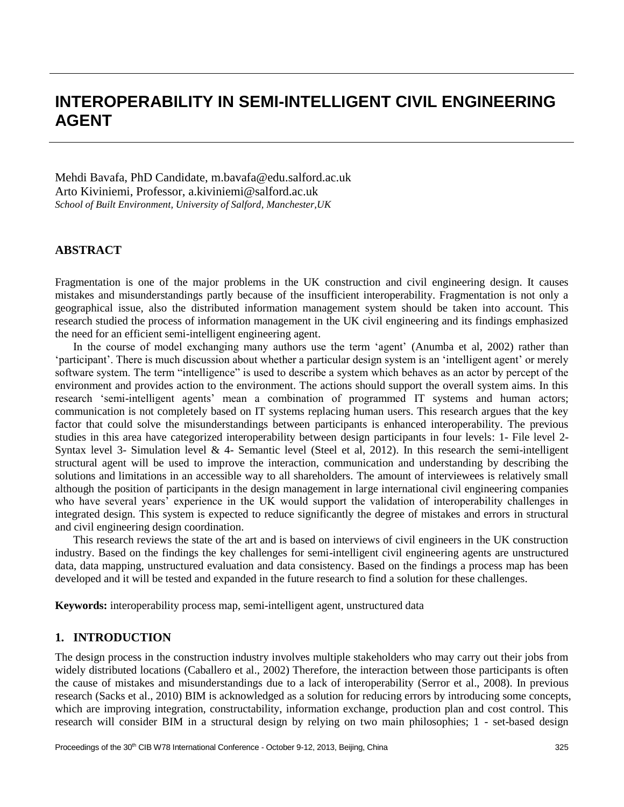# **INTEROPERABILITY IN SEMI-INTELLIGENT CIVIL ENGINEERING AGENT**

Mehdi Bavafa, PhD Candidate, [m.bavafa@edu.salford.ac.uk](mailto:m.bavafa@edu.salford.ac.uk) Arto Kiviniemi, Professor, a.kiviniemi@salford.ac.uk *School of Built Environment, University of Salford, Manchester,UK*

### **ABSTRACT**

Fragmentation is one of the major problems in the UK construction and civil engineering design. It causes mistakes and misunderstandings partly because of the insufficient interoperability. Fragmentation is not only a geographical issue, also the distributed information management system should be taken into account. This research studied the process of information management in the UK civil engineering and its findings emphasized the need for an efficient semi-intelligent engineering agent.

In the course of model exchanging many authors use the term 'agent' (Anumba et al, 2002) rather than 'participant'. There is much discussion about whether a particular design system is an 'intelligent agent' or merely software system. The term "intelligence" is used to describe a system which behaves as an actor by percept of the environment and provides action to the environment. The actions should support the overall system aims. In this research 'semi-intelligent agents' mean a combination of programmed IT systems and human actors; communication is not completely based on IT systems replacing human users. This research argues that the key factor that could solve the misunderstandings between participants is enhanced interoperability. The previous studies in this area have categorized interoperability between design participants in four levels: 1- File level 2- Syntax level 3- Simulation level  $& 4$ - Semantic level (Steel et al, 2012). In this research the semi-intelligent structural agent will be used to improve the interaction, communication and understanding by describing the solutions and limitations in an accessible way to all shareholders. The amount of interviewees is relatively small although the position of participants in the design management in large international civil engineering companies who have several years' experience in the UK would support the validation of interoperability challenges in integrated design. This system is expected to reduce significantly the degree of mistakes and errors in structural and civil engineering design coordination.

This research reviews the state of the art and is based on interviews of civil engineers in the UK construction industry. Based on the findings the key challenges for semi-intelligent civil engineering agents are unstructured data, data mapping, unstructured evaluation and data consistency. Based on the findings a process map has been developed and it will be tested and expanded in the future research to find a solution for these challenges.

**Keywords:** interoperability process map, semi-intelligent agent, unstructured data

### **1. INTRODUCTION**

The design process in the construction industry involves multiple stakeholders who may carry out their jobs from widely distributed locations (Caballero et al., 2002) Therefore, the interaction between those participants is often the cause of mistakes and misunderstandings due to a lack of interoperability (Serror et al., 2008). In previous research (Sacks et al., 2010) BIM is acknowledged as a solution for reducing errors by introducing some concepts, which are improving integration, constructability, information exchange, production plan and cost control. This research will consider BIM in a structural design by relying on two main philosophies; 1 - set-based design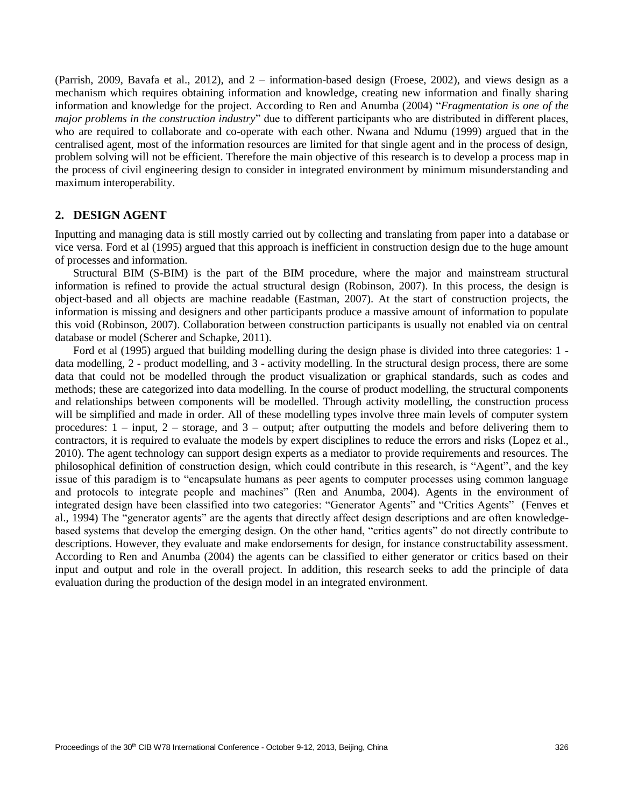(Parrish, 2009, Bavafa et al., 2012), and 2 – information-based design (Froese, 2002), and views design as a mechanism which requires obtaining information and knowledge, creating new information and finally sharing information and knowledge for the project. According to Ren and Anumba (2004) "*Fragmentation is one of the major problems in the construction industry*" due to different participants who are distributed in different places, who are required to collaborate and co-operate with each other. Nwana and Ndumu (1999) argued that in the centralised agent, most of the information resources are limited for that single agent and in the process of design, problem solving will not be efficient. Therefore the main objective of this research is to develop a process map in the process of civil engineering design to consider in integrated environment by minimum misunderstanding and maximum interoperability.

#### **2. DESIGN AGENT**

Inputting and managing data is still mostly carried out by collecting and translating from paper into a database or vice versa. Ford et al (1995) argued that this approach is inefficient in construction design due to the huge amount of processes and information.

Structural BIM (S-BIM) is the part of the BIM procedure, where the major and mainstream structural information is refined to provide the actual structural design (Robinson, 2007). In this process, the design is object-based and all objects are machine readable (Eastman, 2007). At the start of construction projects, the information is missing and designers and other participants produce a massive amount of information to populate this void (Robinson, 2007). Collaboration between construction participants is usually not enabled via on central database or model (Scherer and Schapke, 2011).

Ford et al (1995) argued that building modelling during the design phase is divided into three categories: 1 data modelling, 2 - product modelling, and 3 - activity modelling. In the structural design process, there are some data that could not be modelled through the product visualization or graphical standards, such as codes and methods; these are categorized into data modelling. In the course of product modelling, the structural components and relationships between components will be modelled. Through activity modelling, the construction process will be simplified and made in order. All of these modelling types involve three main levels of computer system procedures: 1 – input, 2 – storage, and 3 – output; after outputting the models and before delivering them to contractors, it is required to evaluate the models by expert disciplines to reduce the errors and risks (Lopez et al., 2010). The agent technology can support design experts as a mediator to provide requirements and resources. The philosophical definition of construction design, which could contribute in this research, is "Agent", and the key issue of this paradigm is to "encapsulate humans as peer agents to computer processes using common language and protocols to integrate people and machines" (Ren and Anumba, 2004). Agents in the environment of integrated design have been classified into two categories: "Generator Agents" and "Critics Agents" (Fenves et al., 1994) The "generator agents" are the agents that directly affect design descriptions and are often knowledgebased systems that develop the emerging design. On the other hand, "critics agents" do not directly contribute to descriptions. However, they evaluate and make endorsements for design, for instance constructability assessment. According to Ren and Anumba (2004) the agents can be classified to either generator or critics based on their input and output and role in the overall project. In addition, this research seeks to add the principle of data evaluation during the production of the design model in an integrated environment.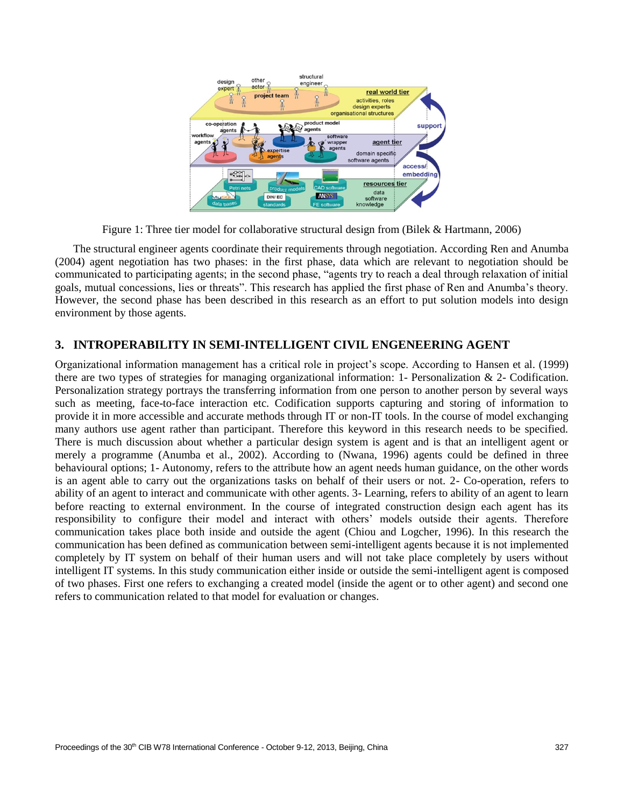

Figure 1: Three tier model for collaborative structural design from (Bilek & Hartmann, 2006)

The structural engineer agents coordinate their requirements through negotiation. According Ren and Anumba (2004) agent negotiation has two phases: in the first phase, data which are relevant to negotiation should be communicated to participating agents; in the second phase, "agents try to reach a deal through relaxation of initial goals, mutual concessions, lies or threats". This research has applied the first phase of Ren and Anumba's theory. However, the second phase has been described in this research as an effort to put solution models into design environment by those agents.

# **3. INTROPERABILITY IN SEMI-INTELLIGENT CIVIL ENGENEERING AGENT**

Organizational information management has a critical role in project's scope. According to Hansen et al. (1999) there are two types of strategies for managing organizational information: 1- Personalization & 2- Codification. Personalization strategy portrays the transferring information from one person to another person by several ways such as meeting, face-to-face interaction etc. Codification supports capturing and storing of information to provide it in more accessible and accurate methods through IT or non-IT tools. In the course of model exchanging many authors use agent rather than participant. Therefore this keyword in this research needs to be specified. There is much discussion about whether a particular design system is agent and is that an intelligent agent or merely a programme (Anumba et al., 2002). According to (Nwana, 1996) agents could be defined in three behavioural options; 1- Autonomy, refers to the attribute how an agent needs human guidance, on the other words is an agent able to carry out the organizations tasks on behalf of their users or not. 2- Co-operation, refers to ability of an agent to interact and communicate with other agents. 3- Learning, refers to ability of an agent to learn before reacting to external environment. In the course of integrated construction design each agent has its responsibility to configure their model and interact with others' models outside their agents. Therefore communication takes place both inside and outside the agent (Chiou and Logcher, 1996). In this research the communication has been defined as communication between semi-intelligent agents because it is not implemented completely by IT system on behalf of their human users and will not take place completely by users without intelligent IT systems. In this study communication either inside or outside the semi-intelligent agent is composed of two phases. First one refers to exchanging a created model (inside the agent or to other agent) and second one refers to communication related to that model for evaluation or changes.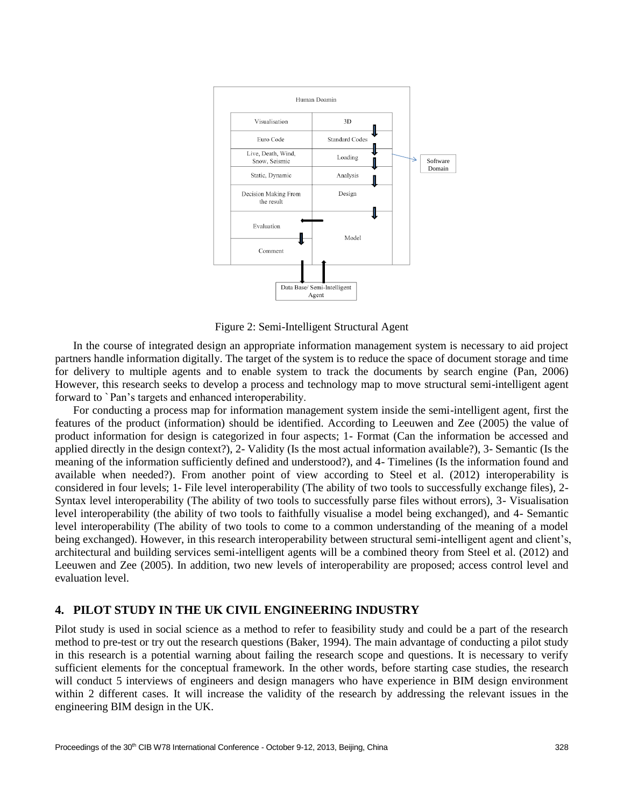

Figure 2: Semi-Intelligent Structural Agent

In the course of integrated design an appropriate information management system is necessary to aid project partners handle information digitally. The target of the system is to reduce the space of document storage and time for delivery to multiple agents and to enable system to track the documents by search engine (Pan, 2006) However, this research seeks to develop a process and technology map to move structural semi-intelligent agent forward to `Pan's targets and enhanced interoperability.

For conducting a process map for information management system inside the semi-intelligent agent, first the features of the product (information) should be identified. According to Leeuwen and Zee (2005) the value of product information for design is categorized in four aspects; 1- Format (Can the information be accessed and applied directly in the design context?), 2- Validity (Is the most actual information available?), 3- Semantic (Is the meaning of the information sufficiently defined and understood?), and 4- Timelines (Is the information found and available when needed?). From another point of view according to Steel et al. (2012) interoperability is considered in four levels; 1- File level interoperability (The ability of two tools to successfully exchange files), 2- Syntax level interoperability (The ability of two tools to successfully parse files without errors), 3- Visualisation level interoperability (the ability of two tools to faithfully visualise a model being exchanged), and 4- Semantic level interoperability (The ability of two tools to come to a common understanding of the meaning of a model being exchanged). However, in this research interoperability between structural semi-intelligent agent and client's, architectural and building services semi-intelligent agents will be a combined theory from Steel et al. (2012) and Leeuwen and Zee (2005). In addition, two new levels of interoperability are proposed; access control level and evaluation level.

## **4. PILOT STUDY IN THE UK CIVIL ENGINEERING INDUSTRY**

Pilot study is used in social science as a method to refer to feasibility study and could be a part of the research method to pre-test or try out the research questions (Baker, 1994). The main advantage of conducting a pilot study in this research is a potential warning about failing the research scope and questions. It is necessary to verify sufficient elements for the conceptual framework. In the other words, before starting case studies, the research will conduct 5 interviews of engineers and design managers who have experience in BIM design environment within 2 different cases. It will increase the validity of the research by addressing the relevant issues in the engineering BIM design in the UK.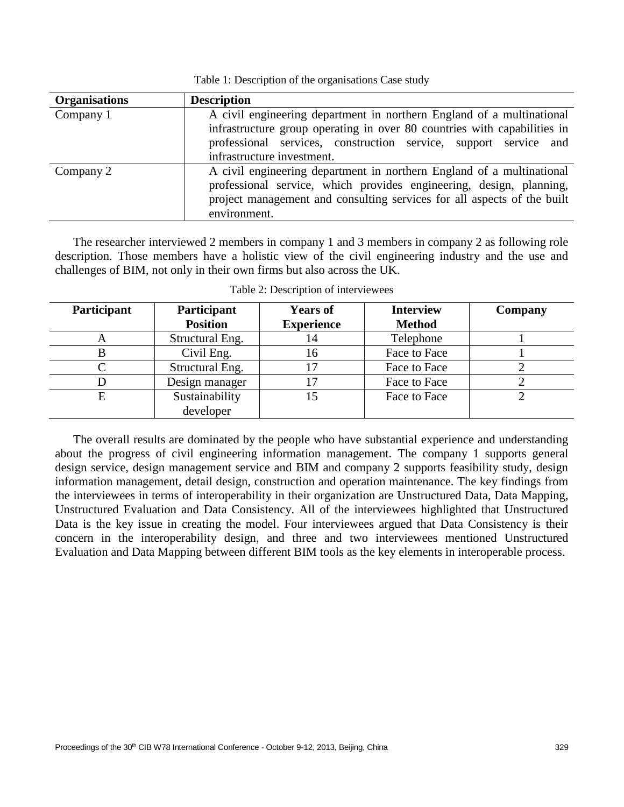| Table 1: Description of the organisations Case study |  |  |
|------------------------------------------------------|--|--|
|                                                      |  |  |

| <b>Organisations</b> | <b>Description</b>                                                       |  |  |  |  |
|----------------------|--------------------------------------------------------------------------|--|--|--|--|
| Company 1            | A civil engineering department in northern England of a multinational    |  |  |  |  |
|                      | infrastructure group operating in over 80 countries with capabilities in |  |  |  |  |
|                      | professional services, construction service, support service and         |  |  |  |  |
|                      | infrastructure investment.                                               |  |  |  |  |
| Company 2            | A civil engineering department in northern England of a multinational    |  |  |  |  |
|                      | professional service, which provides engineering, design, planning,      |  |  |  |  |
|                      | project management and consulting services for all aspects of the built  |  |  |  |  |
|                      | environment.                                                             |  |  |  |  |

The researcher interviewed 2 members in company 1 and 3 members in company 2 as following role description. Those members have a holistic view of the civil engineering industry and the use and challenges of BIM, not only in their own firms but also across the UK.

| Participant | Participant<br><b>Position</b> | <b>Years of</b><br><b>Experience</b> | <b>Interview</b><br><b>Method</b> | Company |
|-------------|--------------------------------|--------------------------------------|-----------------------------------|---------|
|             | Structural Eng.                | 14                                   | Telephone                         |         |
|             | Civil Eng.                     | 16                                   | Face to Face                      |         |
|             | Structural Eng.                | 17                                   | Face to Face                      |         |
|             | Design manager                 |                                      | Face to Face                      |         |
| E           | Sustainability                 | 15                                   | Face to Face                      |         |
|             | developer                      |                                      |                                   |         |

Table 2: Description of interviewees

The overall results are dominated by the people who have substantial experience and understanding about the progress of civil engineering information management. The company 1 supports general design service, design management service and BIM and company 2 supports feasibility study, design information management, detail design, construction and operation maintenance. The key findings from the interviewees in terms of interoperability in their organization are Unstructured Data, Data Mapping, Unstructured Evaluation and Data Consistency. All of the interviewees highlighted that Unstructured Data is the key issue in creating the model. Four interviewees argued that Data Consistency is their concern in the interoperability design, and three and two interviewees mentioned Unstructured Evaluation and Data Mapping between different BIM tools as the key elements in interoperable process.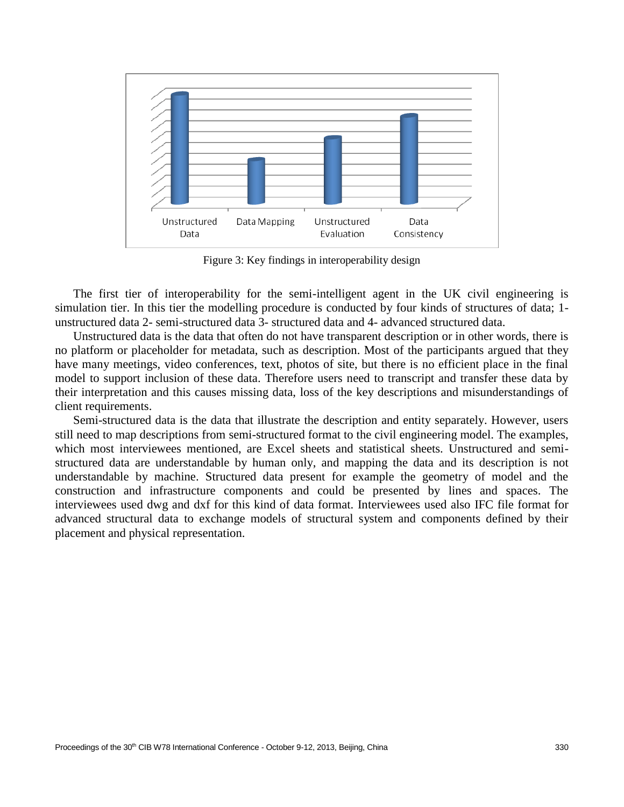

Figure 3: Key findings in interoperability design

The first tier of interoperability for the semi-intelligent agent in the UK civil engineering is simulation tier. In this tier the modelling procedure is conducted by four kinds of structures of data; 1 unstructured data 2- semi-structured data 3- structured data and 4- advanced structured data.

Unstructured data is the data that often do not have transparent description or in other words, there is no platform or placeholder for metadata, such as description. Most of the participants argued that they have many meetings, video conferences, text, photos of site, but there is no efficient place in the final model to support inclusion of these data. Therefore users need to transcript and transfer these data by their interpretation and this causes missing data, loss of the key descriptions and misunderstandings of client requirements.

Semi-structured data is the data that illustrate the description and entity separately. However, users still need to map descriptions from semi-structured format to the civil engineering model. The examples, which most interviewees mentioned, are Excel sheets and statistical sheets. Unstructured and semistructured data are understandable by human only, and mapping the data and its description is not understandable by machine. Structured data present for example the geometry of model and the construction and infrastructure components and could be presented by lines and spaces. The interviewees used dwg and dxf for this kind of data format. Interviewees used also IFC file format for advanced structural data to exchange models of structural system and components defined by their placement and physical representation.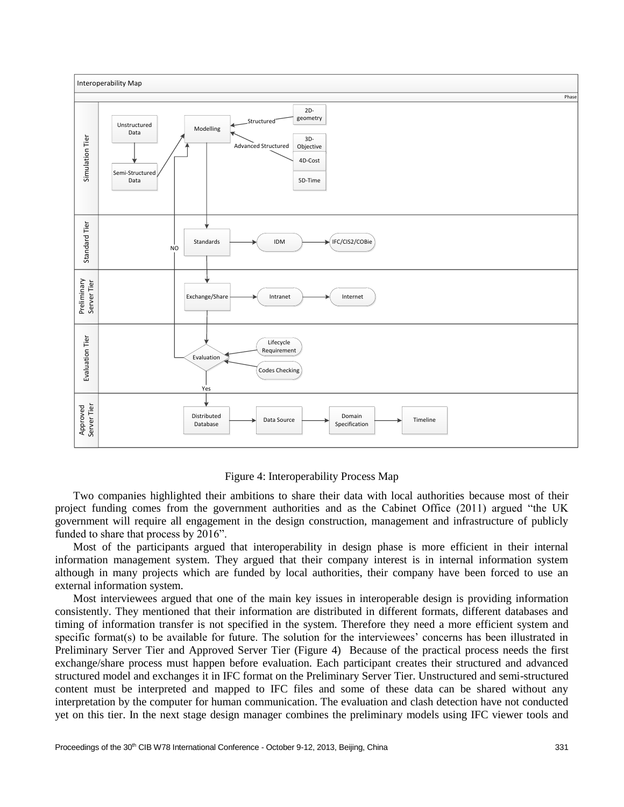

#### Figure 4: Interoperability Process Map

Two companies highlighted their ambitions to share their data with local authorities because most of their project funding comes from the government authorities and as the Cabinet Office (2011) argued "the UK government will require all engagement in the design construction, management and infrastructure of publicly funded to share that process by 2016".

Most of the participants argued that interoperability in design phase is more efficient in their internal information management system. They argued that their company interest is in internal information system although in many projects which are funded by local authorities, their company have been forced to use an external information system.

Most interviewees argued that one of the main key issues in interoperable design is providing information consistently. They mentioned that their information are distributed in different formats, different databases and timing of information transfer is not specified in the system. Therefore they need a more efficient system and specific format(s) to be available for future. The solution for the interviewees' concerns has been illustrated in Preliminary Server Tier and Approved Server Tier (Figure 4) Because of the practical process needs the first exchange/share process must happen before evaluation. Each participant creates their structured and advanced structured model and exchanges it in IFC format on the Preliminary Server Tier. Unstructured and semi-structured content must be interpreted and mapped to IFC files and some of these data can be shared without any interpretation by the computer for human communication. The evaluation and clash detection have not conducted yet on this tier. In the next stage design manager combines the preliminary models using IFC viewer tools and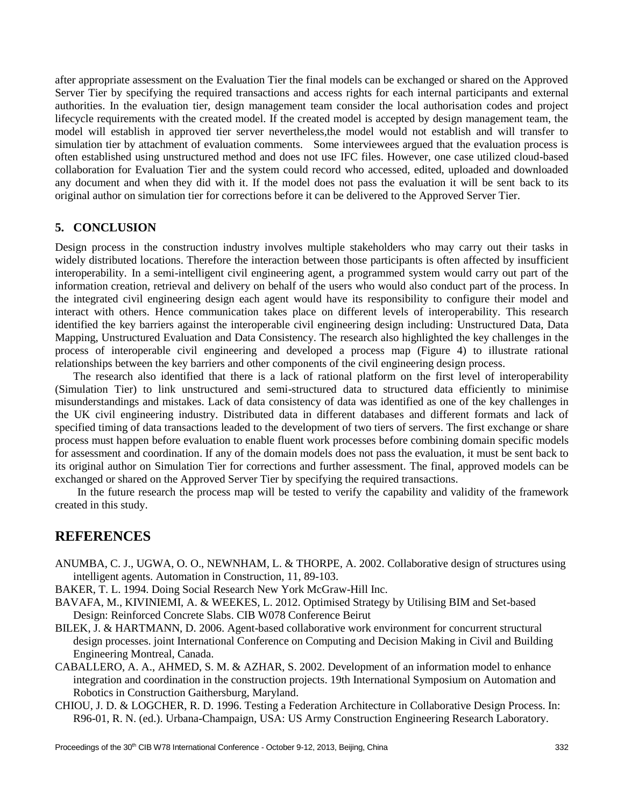after appropriate assessment on the Evaluation Tier the final models can be exchanged or shared on the Approved Server Tier by specifying the required transactions and access rights for each internal participants and external authorities. In the evaluation tier, design management team consider the local authorisation codes and project lifecycle requirements with the created model. If the created model is accepted by design management team, the model will establish in approved tier server nevertheless,the model would not establish and will transfer to simulation tier by attachment of evaluation comments. Some interviewees argued that the evaluation process is often established using unstructured method and does not use IFC files. However, one case utilized cloud-based collaboration for Evaluation Tier and the system could record who accessed, edited, uploaded and downloaded any document and when they did with it. If the model does not pass the evaluation it will be sent back to its original author on simulation tier for corrections before it can be delivered to the Approved Server Tier.

### **5. CONCLUSION**

Design process in the construction industry involves multiple stakeholders who may carry out their tasks in widely distributed locations. Therefore the interaction between those participants is often affected by insufficient interoperability. In a semi-intelligent civil engineering agent, a programmed system would carry out part of the information creation, retrieval and delivery on behalf of the users who would also conduct part of the process. In the integrated civil engineering design each agent would have its responsibility to configure their model and interact with others. Hence communication takes place on different levels of interoperability. This research identified the key barriers against the interoperable civil engineering design including: Unstructured Data, Data Mapping, Unstructured Evaluation and Data Consistency. The research also highlighted the key challenges in the process of interoperable civil engineering and developed a process map (Figure 4) to illustrate rational relationships between the key barriers and other components of the civil engineering design process.

The research also identified that there is a lack of rational platform on the first level of interoperability (Simulation Tier) to link unstructured and semi-structured data to structured data efficiently to minimise misunderstandings and mistakes. Lack of data consistency of data was identified as one of the key challenges in the UK civil engineering industry. Distributed data in different databases and different formats and lack of specified timing of data transactions leaded to the development of two tiers of servers. The first exchange or share process must happen before evaluation to enable fluent work processes before combining domain specific models for assessment and coordination. If any of the domain models does not pass the evaluation, it must be sent back to its original author on Simulation Tier for corrections and further assessment. The final, approved models can be exchanged or shared on the Approved Server Tier by specifying the required transactions.

In the future research the process map will be tested to verify the capability and validity of the framework created in this study.

# **REFERENCES**

- ANUMBA, C. J., UGWA, O. O., NEWNHAM, L. & THORPE, A. 2002. Collaborative design of structures using intelligent agents. Automation in Construction, 11, 89-103.
- BAKER, T. L. 1994. Doing Social Research New York McGraw-Hill Inc.
- BAVAFA, M., KIVINIEMI, A. & WEEKES, L. 2012. Optimised Strategy by Utilising BIM and Set-based Design: Reinforced Concrete Slabs. CIB W078 Conference Beirut
- BILEK, J. & HARTMANN, D. 2006. Agent-based collaborative work environment for concurrent structural design processes. joint International Conference on Computing and Decision Making in Civil and Building Engineering Montreal, Canada.
- CABALLERO, A. A., AHMED, S. M. & AZHAR, S. 2002. Development of an information model to enhance integration and coordination in the construction projects. 19th International Symposium on Automation and Robotics in Construction Gaithersburg, Maryland.
- CHIOU, J. D. & LOGCHER, R. D. 1996. Testing a Federation Architecture in Collaborative Design Process. In: R96-01, R. N. (ed.). Urbana-Champaign, USA: US Army Construction Engineering Research Laboratory.